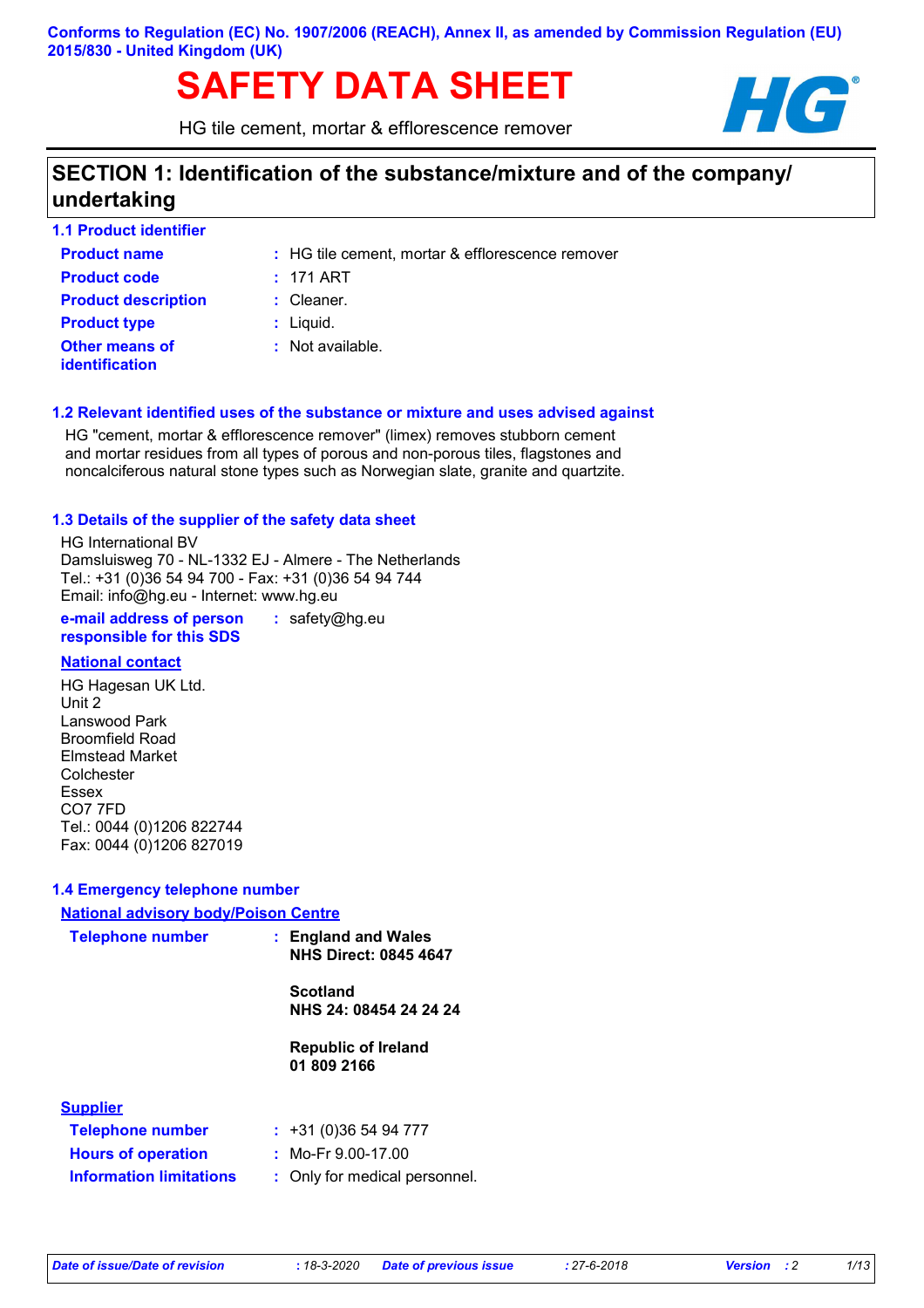# **SAFETY DATA SHEET HG**

HG tile cement, mortar & efflorescence remover



# **SECTION 1: Identification of the substance/mixture and of the company/ undertaking**

| <b>1.1 Product identifier</b>                  |                                                  |
|------------------------------------------------|--------------------------------------------------|
| <b>Product name</b>                            | : HG tile cement, mortar & efflorescence remover |
| <b>Product code</b>                            | $: 171$ ART                                      |
| <b>Product description</b>                     | $:$ Cleaner.                                     |
| <b>Product type</b>                            | $:$ Liquid.                                      |
| <b>Other means of</b><br><b>identification</b> | $:$ Not available.                               |

## **1.2 Relevant identified uses of the substance or mixture and uses advised against**

HG "cement, mortar & efflorescence remover" (limex) removes stubborn cement and mortar residues from all types of porous and non-porous tiles, flagstones and noncalciferous natural stone types such as Norwegian slate, granite and quartzite.

## **1.3 Details of the supplier of the safety data sheet**

HG International BV Damsluisweg 70 - NL-1332 EJ - Almere - The Netherlands Tel.: +31 (0)36 54 94 700 - Fax: +31 (0)36 54 94 744 Email: info@hg.eu - Internet: www.hg.eu

**e-mail address of person responsible for this SDS :** safety@hg.eu

## **National contact**

HG Hagesan UK Ltd. Unit 2 Lanswood Park Broomfield Road Elmstead Market Colchester Essex CO7 7FD Tel.: 0044 (0)1206 822744 Fax: 0044 (0)1206 827019

## **1.4 Emergency telephone number**

| <b>National advisory body/Poison Centre</b> |                                                     |
|---------------------------------------------|-----------------------------------------------------|
| <b>Telephone number</b>                     | : England and Wales<br><b>NHS Direct: 0845 4647</b> |
|                                             | <b>Scotland</b><br>NHS 24: 08454 24 24 24           |
|                                             |                                                     |
|                                             | <b>Republic of Ireland</b><br>01 809 2166           |
| <b>Supplier</b>                             |                                                     |
| <b>Telephone number</b>                     | : 431(0)365494777                                   |
| <b>Hours of operation</b>                   | : Mo-Fr $9.00-17.00$                                |
| <b>Information limitations</b>              | : Only for medical personnel.                       |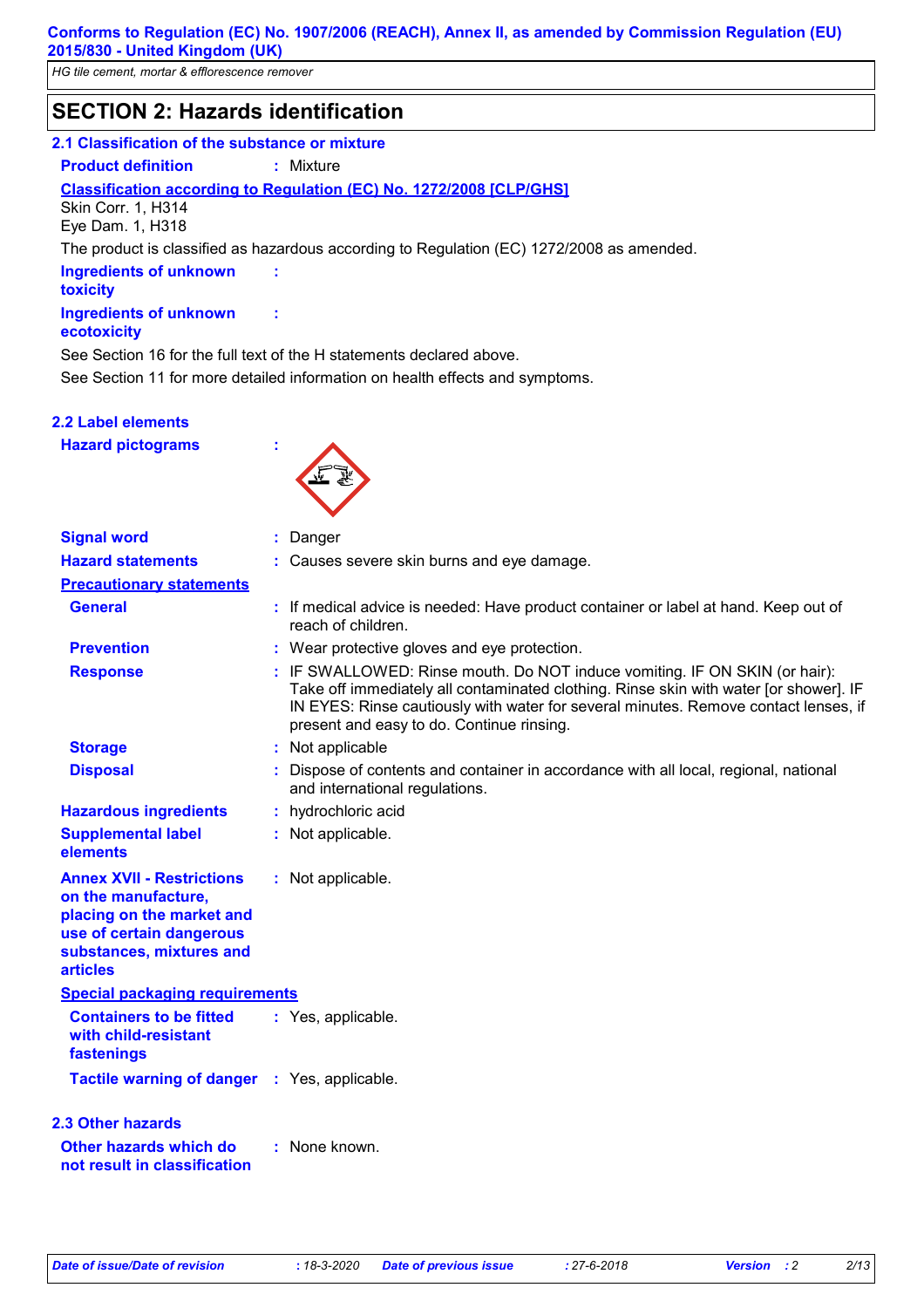*HG tile cement, mortar & efflorescence remover*

# **SECTION 2: Hazards identification**

#### **2.1 Classification of the substance or mixture**

**Product definition :** Mixture

**Classification according to Regulation (EC) No. 1272/2008 [CLP/GHS]**

**:**

**:**

Skin Corr. 1, H314 Eye Dam. 1, H318

The product is classified as hazardous according to Regulation (EC) 1272/2008 as amended.

**Ingredients of unknown toxicity Ingredients of unknown** 

## **ecotoxicity**

See Section 11 for more detailed information on health effects and symptoms. See Section 16 for the full text of the H statements declared above.

## **2.2 Label elements**

**Hazard pictograms :**



| <b>Signal word</b>                                                                                                                                              | $:$ Danger                                                                                                                                                                                                                                                                                              |
|-----------------------------------------------------------------------------------------------------------------------------------------------------------------|---------------------------------------------------------------------------------------------------------------------------------------------------------------------------------------------------------------------------------------------------------------------------------------------------------|
| <b>Hazard statements</b>                                                                                                                                        | : Causes severe skin burns and eye damage.                                                                                                                                                                                                                                                              |
| <b>Precautionary statements</b>                                                                                                                                 |                                                                                                                                                                                                                                                                                                         |
| <b>General</b>                                                                                                                                                  | : If medical advice is needed: Have product container or label at hand. Keep out of<br>reach of children.                                                                                                                                                                                               |
| <b>Prevention</b>                                                                                                                                               | : Wear protective gloves and eye protection.                                                                                                                                                                                                                                                            |
| <b>Response</b>                                                                                                                                                 | : IF SWALLOWED: Rinse mouth. Do NOT induce vomiting. IF ON SKIN (or hair):<br>Take off immediately all contaminated clothing. Rinse skin with water [or shower]. IF<br>IN EYES: Rinse cautiously with water for several minutes. Remove contact lenses, if<br>present and easy to do. Continue rinsing. |
| <b>Storage</b>                                                                                                                                                  | : Not applicable                                                                                                                                                                                                                                                                                        |
| <b>Disposal</b>                                                                                                                                                 | : Dispose of contents and container in accordance with all local, regional, national<br>and international regulations.                                                                                                                                                                                  |
| <b>Hazardous ingredients</b>                                                                                                                                    | : hydrochloric acid                                                                                                                                                                                                                                                                                     |
| <b>Supplemental label</b><br>elements                                                                                                                           | : Not applicable.                                                                                                                                                                                                                                                                                       |
| <b>Annex XVII - Restrictions</b><br>on the manufacture,<br>placing on the market and<br>use of certain dangerous<br>substances, mixtures and<br><b>articles</b> | : Not applicable.                                                                                                                                                                                                                                                                                       |
| <b>Special packaging requirements</b>                                                                                                                           |                                                                                                                                                                                                                                                                                                         |
| <b>Containers to be fitted</b><br>with child-resistant<br>fastenings                                                                                            | : Yes, applicable.                                                                                                                                                                                                                                                                                      |
| Tactile warning of danger : Yes, applicable.                                                                                                                    |                                                                                                                                                                                                                                                                                                         |
| 2.3 Other hazards                                                                                                                                               |                                                                                                                                                                                                                                                                                                         |
| Other hazards which do<br>not result in classification                                                                                                          | : None known.                                                                                                                                                                                                                                                                                           |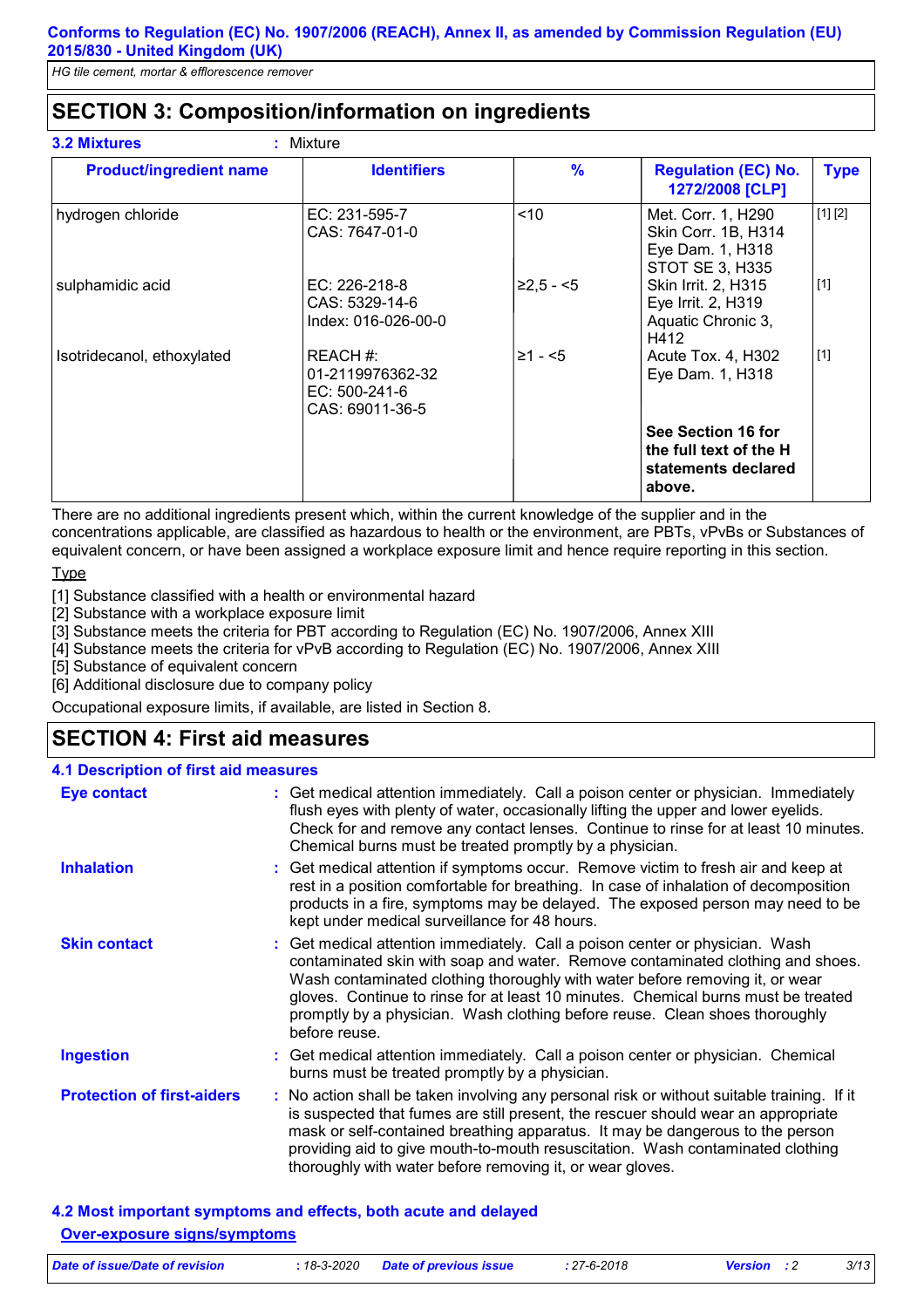# **SECTION 3: Composition/information on ingredients**

| <b>Product/ingredient name</b> | <b>Identifiers</b>                                               | $\frac{9}{6}$ | <b>Regulation (EC) No.</b><br>1272/2008 [CLP]                                    | <b>Type</b> |
|--------------------------------|------------------------------------------------------------------|---------------|----------------------------------------------------------------------------------|-------------|
| hydrogen chloride              | EC: 231-595-7<br>CAS: 7647-01-0                                  | ~10           | Met. Corr. 1, H290<br>Skin Corr. 1B, H314<br>Eye Dam. 1, H318<br>STOT SE 3, H335 | [1] [2]     |
| sulphamidic acid               | EC: 226-218-8<br>CAS: 5329-14-6<br>Index: 016-026-00-0           | $≥2,5 - 5$    | Skin Irrit. 2, H315<br>Eye Irrit. 2, H319<br>Aquatic Chronic 3,<br>H412          | $[1]$       |
| Isotridecanol, ethoxylated     | REACH #:<br>01-2119976362-32<br>EC: 500-241-6<br>CAS: 69011-36-5 | $\geq 1 - 5$  | Acute Tox. 4, H302<br>Eye Dam. 1, H318                                           | $[1]$       |
|                                |                                                                  |               | See Section 16 for<br>the full text of the H<br>statements declared<br>above.    |             |

There are no additional ingredients present which, within the current knowledge of the supplier and in the concentrations applicable, are classified as hazardous to health or the environment, are PBTs, vPvBs or Substances of equivalent concern, or have been assigned a workplace exposure limit and hence require reporting in this section.

**Type** 

[1] Substance classified with a health or environmental hazard

[2] Substance with a workplace exposure limit

[3] Substance meets the criteria for PBT according to Regulation (EC) No. 1907/2006, Annex XIII

[4] Substance meets the criteria for vPvB according to Regulation (EC) No. 1907/2006, Annex XIII

[5] Substance of equivalent concern

[6] Additional disclosure due to company policy

Occupational exposure limits, if available, are listed in Section 8.

# **SECTION 4: First aid measures**

| <b>4.1 Description of first aid measures</b> |                                                                                                                                                                                                                                                                                                                                                                                                                                     |
|----------------------------------------------|-------------------------------------------------------------------------------------------------------------------------------------------------------------------------------------------------------------------------------------------------------------------------------------------------------------------------------------------------------------------------------------------------------------------------------------|
| Eye contact                                  | : Get medical attention immediately. Call a poison center or physician. Immediately<br>flush eyes with plenty of water, occasionally lifting the upper and lower eyelids.<br>Check for and remove any contact lenses. Continue to rinse for at least 10 minutes.<br>Chemical burns must be treated promptly by a physician.                                                                                                         |
| <b>Inhalation</b>                            | : Get medical attention if symptoms occur. Remove victim to fresh air and keep at<br>rest in a position comfortable for breathing. In case of inhalation of decomposition<br>products in a fire, symptoms may be delayed. The exposed person may need to be<br>kept under medical surveillance for 48 hours.                                                                                                                        |
| <b>Skin contact</b>                          | : Get medical attention immediately. Call a poison center or physician. Wash<br>contaminated skin with soap and water. Remove contaminated clothing and shoes.<br>Wash contaminated clothing thoroughly with water before removing it, or wear<br>gloves. Continue to rinse for at least 10 minutes. Chemical burns must be treated<br>promptly by a physician. Wash clothing before reuse. Clean shoes thoroughly<br>before reuse. |
| <b>Ingestion</b>                             | : Get medical attention immediately. Call a poison center or physician. Chemical<br>burns must be treated promptly by a physician.                                                                                                                                                                                                                                                                                                  |
| <b>Protection of first-aiders</b>            | : No action shall be taken involving any personal risk or without suitable training. If it<br>is suspected that fumes are still present, the rescuer should wear an appropriate<br>mask or self-contained breathing apparatus. It may be dangerous to the person<br>providing aid to give mouth-to-mouth resuscitation. Wash contaminated clothing<br>thoroughly with water before removing it, or wear gloves.                     |

# **4.2 Most important symptoms and effects, both acute and delayed Over-exposure signs/symptoms**

| Date of issue/Date of revision | : 18-3-2020 Date of previous issue | : 27-6-2018 | <b>Version</b> : 2 | 3/13 |
|--------------------------------|------------------------------------|-------------|--------------------|------|
|                                |                                    |             |                    |      |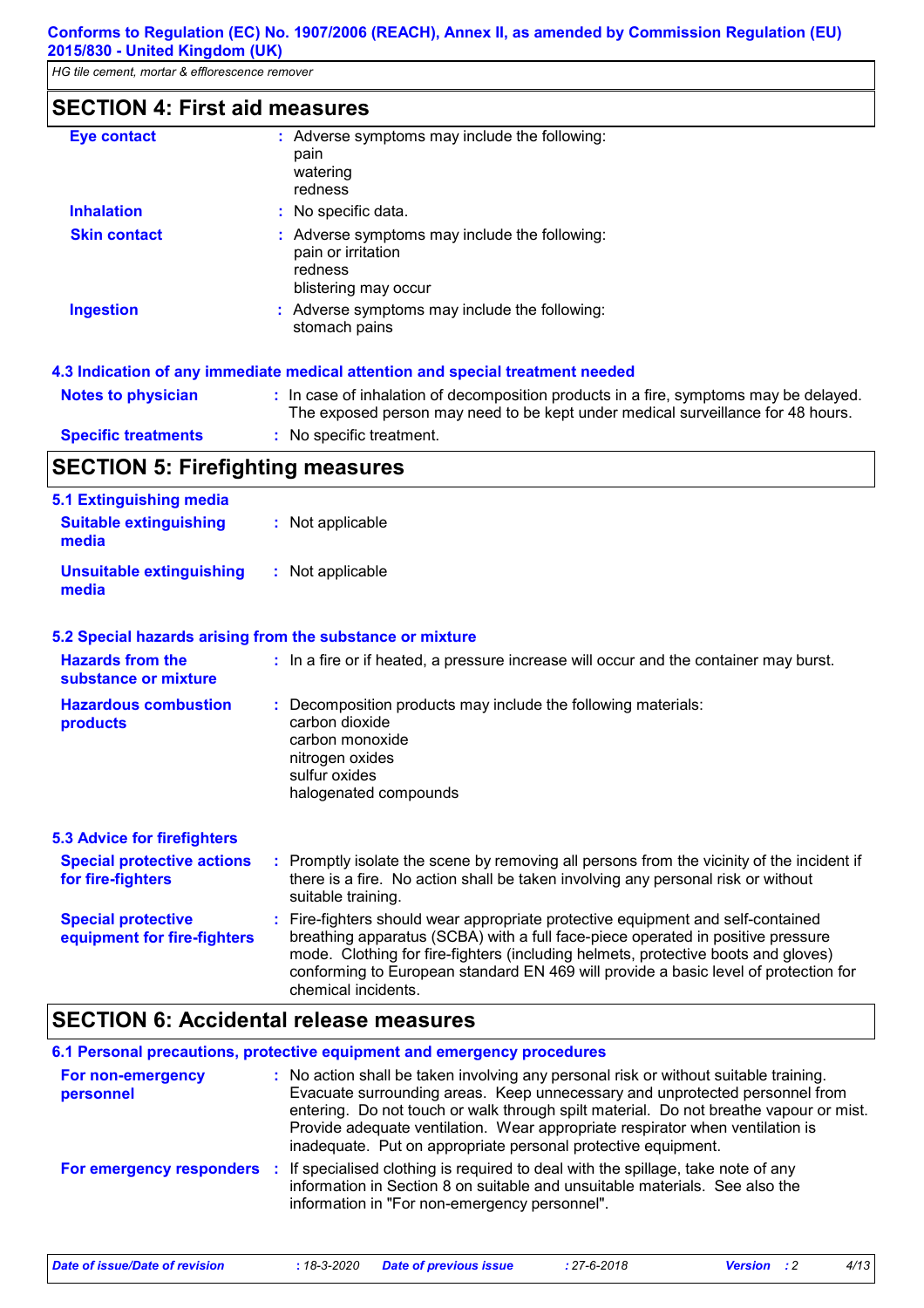# **SECTION 4: First aid measures**

| Eye contact         | : Adverse symptoms may include the following:<br>pain<br>watering<br>redness                           |
|---------------------|--------------------------------------------------------------------------------------------------------|
| <b>Inhalation</b>   | : No specific data.                                                                                    |
| <b>Skin contact</b> | : Adverse symptoms may include the following:<br>pain or irritation<br>redness<br>blistering may occur |
| <b>Ingestion</b>    | : Adverse symptoms may include the following:<br>stomach pains                                         |

#### **4.3 Indication of any immediate medical attention and special treatment needed**

| <b>Notes to physician</b>  | : In case of inhalation of decomposition products in a fire, symptoms may be delayed.<br>The exposed person may need to be kept under medical surveillance for 48 hours. |
|----------------------------|--------------------------------------------------------------------------------------------------------------------------------------------------------------------------|
| <b>Specific treatments</b> | : No specific treatment.                                                                                                                                                 |

# **SECTION 5: Firefighting measures**

| 5.1 Extinguishing media<br><b>Suitable extinguishing</b><br>media | : Not applicable                                                                                                                                                                                                                                                                                                                                                      |
|-------------------------------------------------------------------|-----------------------------------------------------------------------------------------------------------------------------------------------------------------------------------------------------------------------------------------------------------------------------------------------------------------------------------------------------------------------|
| <b>Unsuitable extinguishing</b><br>media                          | : Not applicable                                                                                                                                                                                                                                                                                                                                                      |
|                                                                   | 5.2 Special hazards arising from the substance or mixture                                                                                                                                                                                                                                                                                                             |
| <b>Hazards from the</b><br>substance or mixture                   | : In a fire or if heated, a pressure increase will occur and the container may burst.                                                                                                                                                                                                                                                                                 |
| <b>Hazardous combustion</b><br>products                           | : Decomposition products may include the following materials:<br>carbon dioxide<br>carbon monoxide<br>nitrogen oxides<br>sulfur oxides<br>halogenated compounds                                                                                                                                                                                                       |
| <b>5.3 Advice for firefighters</b>                                |                                                                                                                                                                                                                                                                                                                                                                       |
| <b>Special protective actions</b><br>for fire-fighters            | : Promptly isolate the scene by removing all persons from the vicinity of the incident if<br>there is a fire. No action shall be taken involving any personal risk or without<br>suitable training.                                                                                                                                                                   |
| <b>Special protective</b><br>equipment for fire-fighters          | : Fire-fighters should wear appropriate protective equipment and self-contained<br>breathing apparatus (SCBA) with a full face-piece operated in positive pressure<br>mode. Clothing for fire-fighters (including helmets, protective boots and gloves)<br>conforming to European standard EN 469 will provide a basic level of protection for<br>chemical incidents. |

# **SECTION 6: Accidental release measures**

|                                | 6.1 Personal precautions, protective equipment and emergency procedures                                                                                                                                                                                                                                                                                                                                        |
|--------------------------------|----------------------------------------------------------------------------------------------------------------------------------------------------------------------------------------------------------------------------------------------------------------------------------------------------------------------------------------------------------------------------------------------------------------|
| For non-emergency<br>personnel | : No action shall be taken involving any personal risk or without suitable training.<br>Evacuate surrounding areas. Keep unnecessary and unprotected personnel from<br>entering. Do not touch or walk through spilt material. Do not breathe vapour or mist.<br>Provide adequate ventilation. Wear appropriate respirator when ventilation is<br>inadequate. Put on appropriate personal protective equipment. |
|                                | For emergency responders : If specialised clothing is required to deal with the spillage, take note of any<br>information in Section 8 on suitable and unsuitable materials. See also the<br>information in "For non-emergency personnel".                                                                                                                                                                     |

*Date of issue/Date of revision* **:** *18-3-2020 Date of previous issue : 27-6-2018 Version : 2 4/13*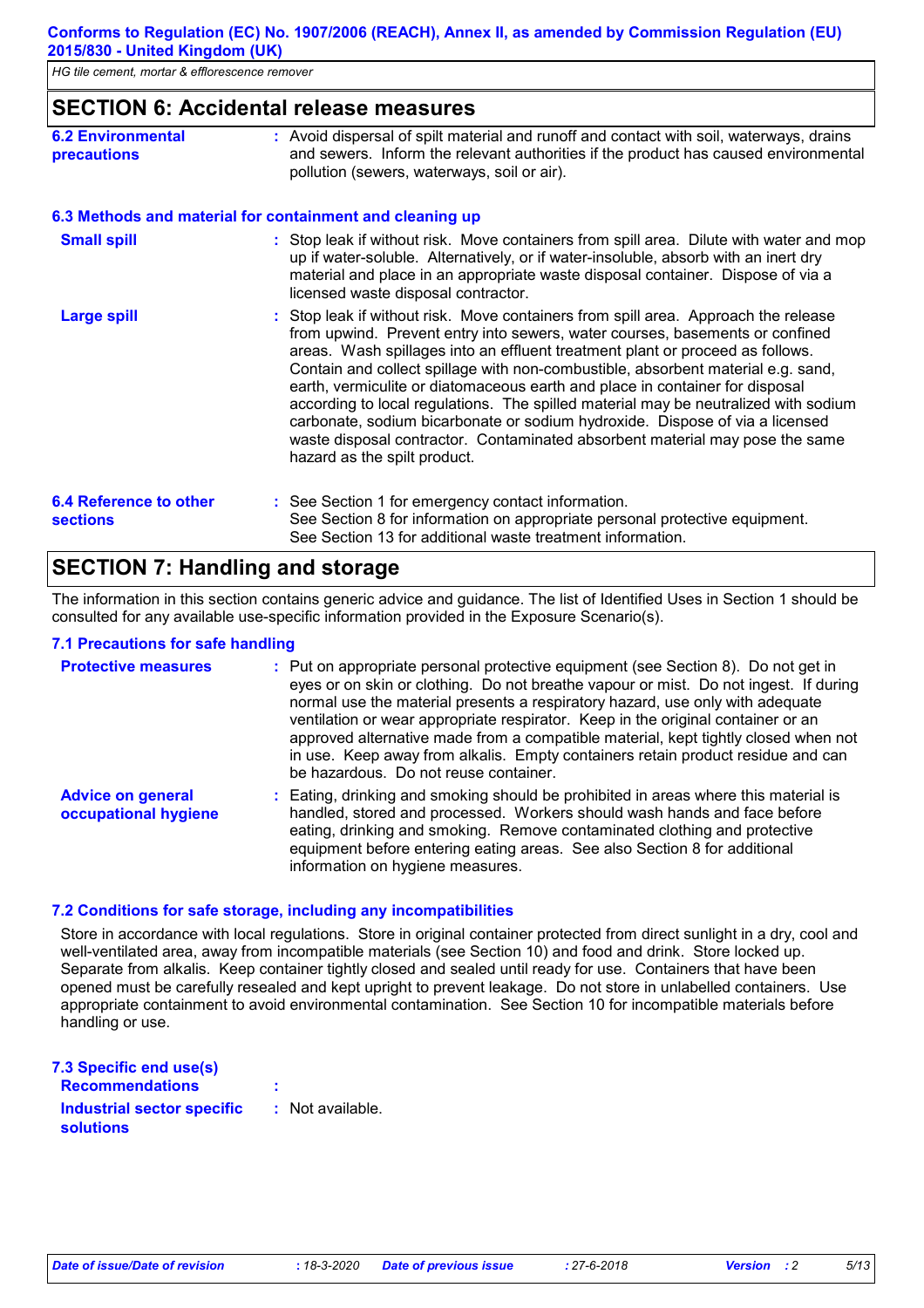# **SECTION 6: Accidental release measures**

| <b>6.2 Environmental</b> | : Avoid dispersal of spilt material and runoff and contact with soil, waterways, drains |
|--------------------------|-----------------------------------------------------------------------------------------|
| <b>precautions</b>       | and sewers. Inform the relevant authorities if the product has caused environmental     |
|                          | pollution (sewers, waterways, soil or air).                                             |

#### **6.3 Methods and material for containment and cleaning up**

| <b>Small spill</b>                               | : Stop leak if without risk. Move containers from spill area. Dilute with water and mop<br>up if water-soluble. Alternatively, or if water-insoluble, absorb with an inert dry<br>material and place in an appropriate waste disposal container. Dispose of via a<br>licensed waste disposal contractor.                                                                                                                                                                                                                                                                                                                                                                                                       |
|--------------------------------------------------|----------------------------------------------------------------------------------------------------------------------------------------------------------------------------------------------------------------------------------------------------------------------------------------------------------------------------------------------------------------------------------------------------------------------------------------------------------------------------------------------------------------------------------------------------------------------------------------------------------------------------------------------------------------------------------------------------------------|
| <b>Large spill</b>                               | : Stop leak if without risk. Move containers from spill area. Approach the release<br>from upwind. Prevent entry into sewers, water courses, basements or confined<br>areas. Wash spillages into an effluent treatment plant or proceed as follows.<br>Contain and collect spillage with non-combustible, absorbent material e.g. sand,<br>earth, vermiculite or diatomaceous earth and place in container for disposal<br>according to local regulations. The spilled material may be neutralized with sodium<br>carbonate, sodium bicarbonate or sodium hydroxide. Dispose of via a licensed<br>waste disposal contractor. Contaminated absorbent material may pose the same<br>hazard as the spilt product. |
| <b>6.4 Reference to other</b><br><b>sections</b> | : See Section 1 for emergency contact information.<br>See Section 8 for information on appropriate personal protective equipment.<br>See Section 13 for additional waste treatment information.                                                                                                                                                                                                                                                                                                                                                                                                                                                                                                                |

# **SECTION 7: Handling and storage**

The information in this section contains generic advice and guidance. The list of Identified Uses in Section 1 should be consulted for any available use-specific information provided in the Exposure Scenario(s).

## **7.1 Precautions for safe handling**

| <b>Protective measures</b>                       | : Put on appropriate personal protective equipment (see Section 8). Do not get in<br>eyes or on skin or clothing. Do not breathe vapour or mist. Do not ingest. If during<br>normal use the material presents a respiratory hazard, use only with adequate<br>ventilation or wear appropriate respirator. Keep in the original container or an<br>approved alternative made from a compatible material, kept tightly closed when not<br>in use. Keep away from alkalis. Empty containers retain product residue and can<br>be hazardous. Do not reuse container. |
|--------------------------------------------------|------------------------------------------------------------------------------------------------------------------------------------------------------------------------------------------------------------------------------------------------------------------------------------------------------------------------------------------------------------------------------------------------------------------------------------------------------------------------------------------------------------------------------------------------------------------|
| <b>Advice on general</b><br>occupational hygiene | Eating, drinking and smoking should be prohibited in areas where this material is<br>handled, stored and processed. Workers should wash hands and face before<br>eating, drinking and smoking. Remove contaminated clothing and protective<br>equipment before entering eating areas. See also Section 8 for additional<br>information on hygiene measures.                                                                                                                                                                                                      |

## **7.2 Conditions for safe storage, including any incompatibilities**

Store in accordance with local regulations. Store in original container protected from direct sunlight in a dry, cool and well-ventilated area, away from incompatible materials (see Section 10) and food and drink. Store locked up. Separate from alkalis. Keep container tightly closed and sealed until ready for use. Containers that have been opened must be carefully resealed and kept upright to prevent leakage. Do not store in unlabelled containers. Use appropriate containment to avoid environmental contamination. See Section 10 for incompatible materials before handling or use.

| 7.3 Specific end use(s)                        |                  |
|------------------------------------------------|------------------|
| <b>Recommendations</b>                         | ÷                |
| Industrial sector specific<br><b>solutions</b> | : Not available. |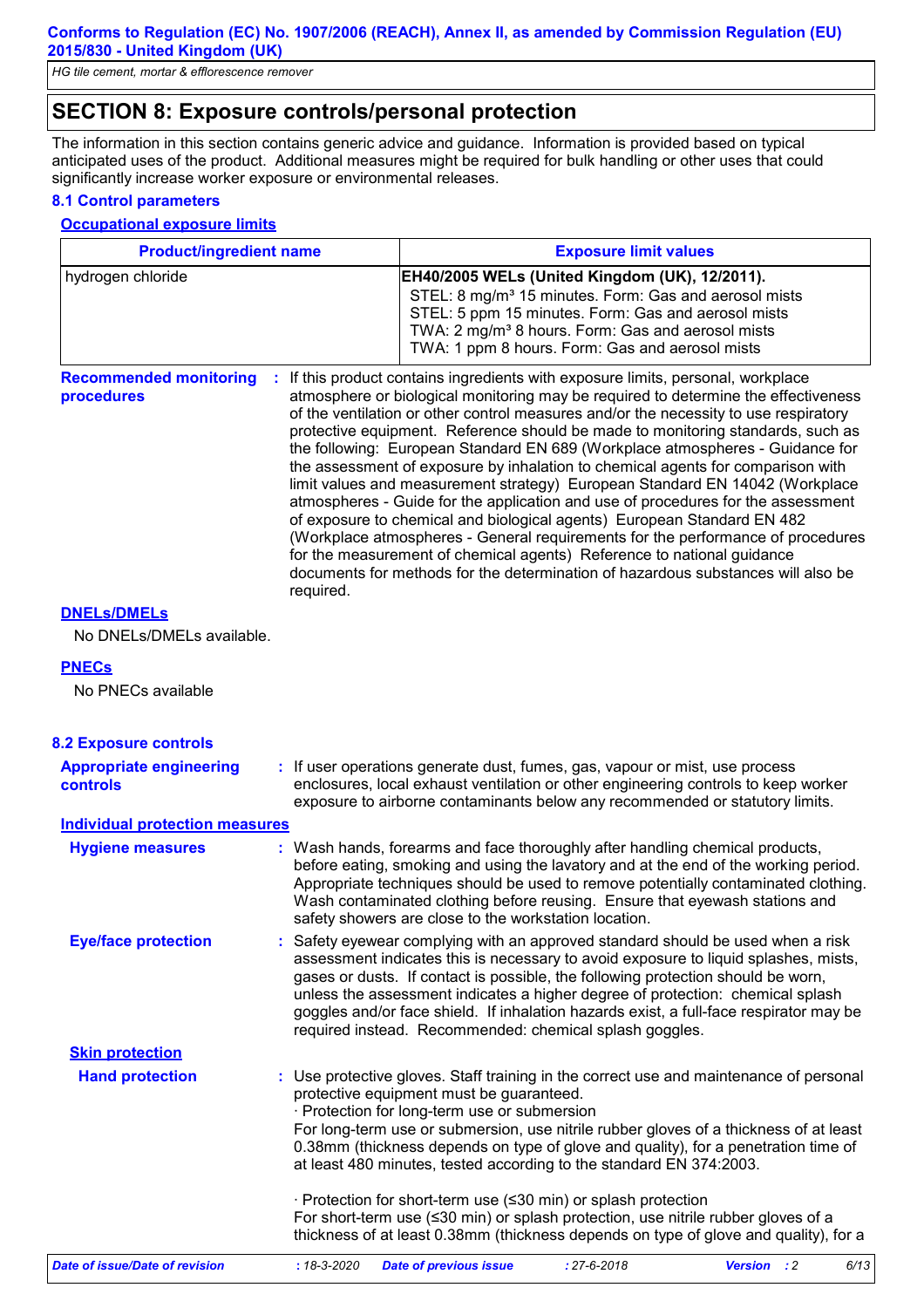# **SECTION 8: Exposure controls/personal protection**

The information in this section contains generic advice and guidance. Information is provided based on typical anticipated uses of the product. Additional measures might be required for bulk handling or other uses that could significantly increase worker exposure or environmental releases.

## **8.1 Control parameters**

#### **Occupational exposure limits**

| <b>Product/ingredient name</b>              |           | <b>Exposure limit values</b>                                                                                                                                                                                                                                                                                                                                                                                                                                                                                                                                                                                                                                                                                                                                                                                                                                                                                                                                                                                          |
|---------------------------------------------|-----------|-----------------------------------------------------------------------------------------------------------------------------------------------------------------------------------------------------------------------------------------------------------------------------------------------------------------------------------------------------------------------------------------------------------------------------------------------------------------------------------------------------------------------------------------------------------------------------------------------------------------------------------------------------------------------------------------------------------------------------------------------------------------------------------------------------------------------------------------------------------------------------------------------------------------------------------------------------------------------------------------------------------------------|
| hydrogen chloride                           |           | EH40/2005 WELs (United Kingdom (UK), 12/2011).<br>STEL: 8 mg/m <sup>3</sup> 15 minutes. Form: Gas and aerosol mists<br>STEL: 5 ppm 15 minutes. Form: Gas and aerosol mists<br>TWA: 2 mg/m <sup>3</sup> 8 hours. Form: Gas and aerosol mists<br>TWA: 1 ppm 8 hours. Form: Gas and aerosol mists                                                                                                                                                                                                                                                                                                                                                                                                                                                                                                                                                                                                                                                                                                                        |
| <b>Recommended monitoring</b><br>procedures | required. | : If this product contains ingredients with exposure limits, personal, workplace<br>atmosphere or biological monitoring may be required to determine the effectiveness<br>of the ventilation or other control measures and/or the necessity to use respiratory<br>protective equipment. Reference should be made to monitoring standards, such as<br>the following: European Standard EN 689 (Workplace atmospheres - Guidance for<br>the assessment of exposure by inhalation to chemical agents for comparison with<br>limit values and measurement strategy) European Standard EN 14042 (Workplace<br>atmospheres - Guide for the application and use of procedures for the assessment<br>of exposure to chemical and biological agents) European Standard EN 482<br>(Workplace atmospheres - General requirements for the performance of procedures<br>for the measurement of chemical agents) Reference to national guidance<br>documents for methods for the determination of hazardous substances will also be |
| <b>DNELS/DMELS</b>                          |           |                                                                                                                                                                                                                                                                                                                                                                                                                                                                                                                                                                                                                                                                                                                                                                                                                                                                                                                                                                                                                       |
| No DNELs/DMELs available.                   |           |                                                                                                                                                                                                                                                                                                                                                                                                                                                                                                                                                                                                                                                                                                                                                                                                                                                                                                                                                                                                                       |
| <b>PNECs</b>                                |           |                                                                                                                                                                                                                                                                                                                                                                                                                                                                                                                                                                                                                                                                                                                                                                                                                                                                                                                                                                                                                       |
| No PNECs available                          |           |                                                                                                                                                                                                                                                                                                                                                                                                                                                                                                                                                                                                                                                                                                                                                                                                                                                                                                                                                                                                                       |
|                                             |           |                                                                                                                                                                                                                                                                                                                                                                                                                                                                                                                                                                                                                                                                                                                                                                                                                                                                                                                                                                                                                       |
| <b>8.2 Exposure controls</b>                |           |                                                                                                                                                                                                                                                                                                                                                                                                                                                                                                                                                                                                                                                                                                                                                                                                                                                                                                                                                                                                                       |
| <b>Appropriate engineering</b><br>controls  |           | : If user operations generate dust, fumes, gas, vapour or mist, use process<br>enclosures, local exhaust ventilation or other engineering controls to keep worker<br>exposure to airborne contaminants below any recommended or statutory limits.                                                                                                                                                                                                                                                                                                                                                                                                                                                                                                                                                                                                                                                                                                                                                                     |
| <b>Individual protection measures</b>       |           |                                                                                                                                                                                                                                                                                                                                                                                                                                                                                                                                                                                                                                                                                                                                                                                                                                                                                                                                                                                                                       |
| <b>Hygiene measures</b>                     |           | : Wash hands, forearms and face thoroughly after handling chemical products,<br>before eating, smoking and using the lavatory and at the end of the working period.<br>Appropriate techniques should be used to remove potentially contaminated clothing.<br>Wash contaminated clothing before reusing. Ensure that eyewash stations and<br>safety showers are close to the workstation location.                                                                                                                                                                                                                                                                                                                                                                                                                                                                                                                                                                                                                     |
| <b>Eye/face protection</b>                  |           | : Safety eyewear complying with an approved standard should be used when a risk<br>assessment indicates this is necessary to avoid exposure to liquid splashes, mists,<br>gases or dusts. If contact is possible, the following protection should be worn,<br>unless the assessment indicates a higher degree of protection: chemical splash<br>goggles and/or face shield. If inhalation hazards exist, a full-face respirator may be<br>required instead. Recommended: chemical splash goggles.                                                                                                                                                                                                                                                                                                                                                                                                                                                                                                                     |
| <b>Skin protection</b>                      |           |                                                                                                                                                                                                                                                                                                                                                                                                                                                                                                                                                                                                                                                                                                                                                                                                                                                                                                                                                                                                                       |
| <b>Hand protection</b>                      |           | : Use protective gloves. Staff training in the correct use and maintenance of personal<br>protective equipment must be guaranteed.<br>· Protection for long-term use or submersion<br>For long-term use or submersion, use nitrile rubber gloves of a thickness of at least<br>0.38mm (thickness depends on type of glove and quality), for a penetration time of<br>at least 480 minutes, tested according to the standard EN 374:2003.<br>· Protection for short-term use (≤30 min) or splash protection<br>For short-term use (≤30 min) or splash protection, use nitrile rubber gloves of a<br>thickness of at least 0.38mm (thickness depends on type of glove and quality), for a                                                                                                                                                                                                                                                                                                                               |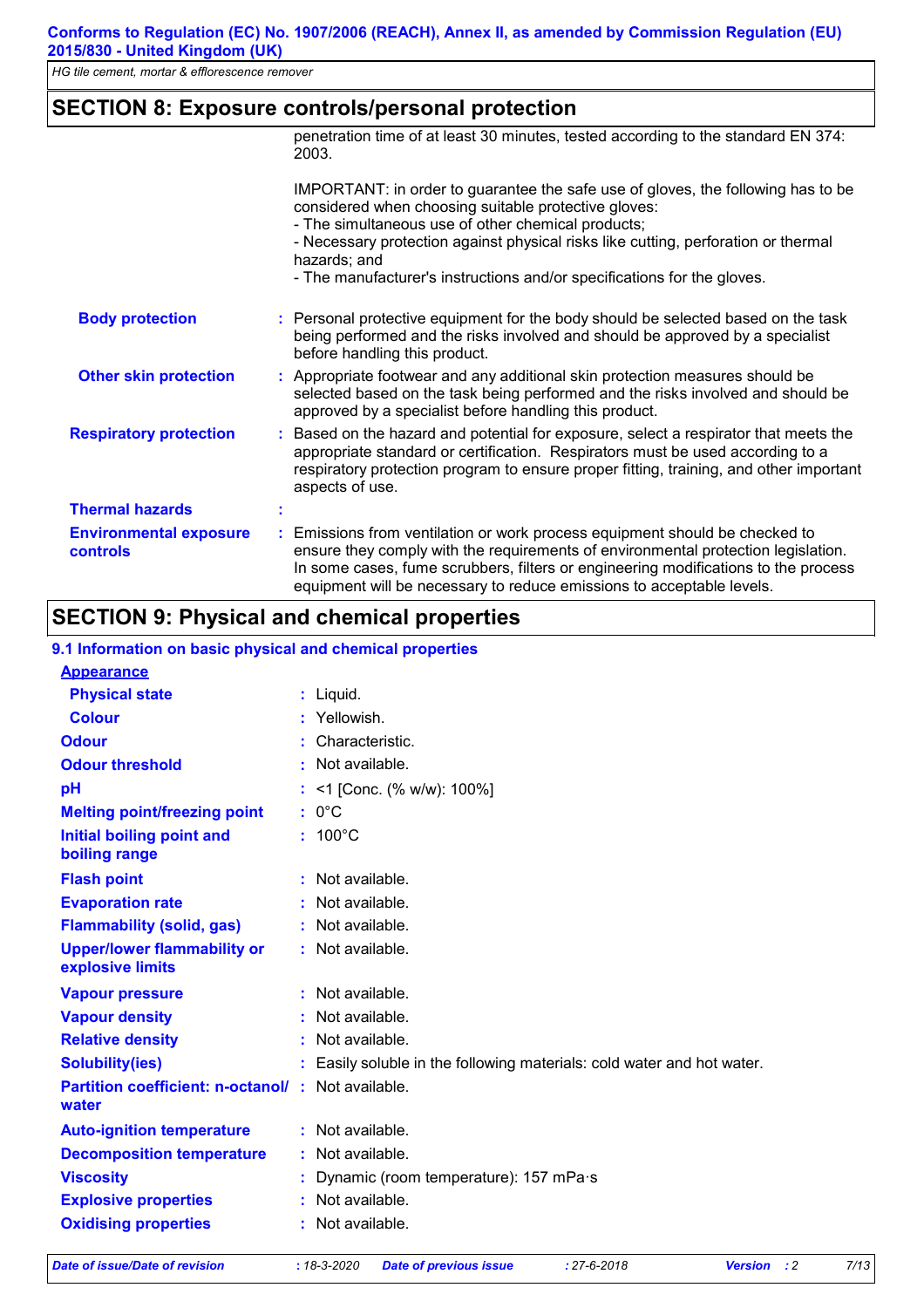# **SECTION 8: Exposure controls/personal protection**

|                                                  | penetration time of at least 30 minutes, tested according to the standard EN 374:<br>2003.                                                                                                                                                                                                                                                                                      |
|--------------------------------------------------|---------------------------------------------------------------------------------------------------------------------------------------------------------------------------------------------------------------------------------------------------------------------------------------------------------------------------------------------------------------------------------|
|                                                  | IMPORTANT: in order to guarantee the safe use of gloves, the following has to be<br>considered when choosing suitable protective gloves:<br>- The simultaneous use of other chemical products;<br>- Necessary protection against physical risks like cutting, perforation or thermal<br>hazards; and<br>- The manufacturer's instructions and/or specifications for the gloves. |
| <b>Body protection</b>                           | : Personal protective equipment for the body should be selected based on the task<br>being performed and the risks involved and should be approved by a specialist<br>before handling this product.                                                                                                                                                                             |
| <b>Other skin protection</b>                     | : Appropriate footwear and any additional skin protection measures should be<br>selected based on the task being performed and the risks involved and should be<br>approved by a specialist before handling this product.                                                                                                                                                       |
| <b>Respiratory protection</b>                    | : Based on the hazard and potential for exposure, select a respirator that meets the<br>appropriate standard or certification. Respirators must be used according to a<br>respiratory protection program to ensure proper fitting, training, and other important<br>aspects of use.                                                                                             |
| <b>Thermal hazards</b>                           |                                                                                                                                                                                                                                                                                                                                                                                 |
| <b>Environmental exposure</b><br><b>controls</b> | : Emissions from ventilation or work process equipment should be checked to<br>ensure they comply with the requirements of environmental protection legislation.<br>In some cases, fume scrubbers, filters or engineering modifications to the process<br>equipment will be necessary to reduce emissions to acceptable levels.                                                 |

# **SECTION 9: Physical and chemical properties**

| 9.1 Information on basic physical and chemical properties         |                                                                      |
|-------------------------------------------------------------------|----------------------------------------------------------------------|
| <b>Appearance</b>                                                 |                                                                      |
| <b>Physical state</b>                                             | $:$ Liquid.                                                          |
| <b>Colour</b>                                                     | : Yellowish.                                                         |
| <b>Odour</b>                                                      | Characteristic.                                                      |
| <b>Odour threshold</b>                                            | $\cdot$ Not available.                                               |
| pH                                                                | : <1 [Conc. (% w/w): 100%]                                           |
| <b>Melting point/freezing point</b>                               | $: 0^{\circ}$ C                                                      |
| <b>Initial boiling point and</b><br>boiling range                 | $: 100^{\circ}$ C                                                    |
| <b>Flash point</b>                                                | : Not available.                                                     |
| <b>Evaporation rate</b>                                           | : Not available.                                                     |
| <b>Flammability (solid, gas)</b>                                  | $:$ Not available.                                                   |
| <b>Upper/lower flammability or</b><br>explosive limits            | : Not available.                                                     |
| <b>Vapour pressure</b>                                            | $:$ Not available.                                                   |
| <b>Vapour density</b>                                             | Not available.                                                       |
| <b>Relative density</b>                                           | : Not available.                                                     |
| <b>Solubility(ies)</b>                                            | Easily soluble in the following materials: cold water and hot water. |
| <b>Partition coefficient: n-octanol/: Not available.</b><br>water |                                                                      |
| <b>Auto-ignition temperature</b>                                  | : Not available.                                                     |
| <b>Decomposition temperature</b>                                  | $:$ Not available.                                                   |
| <b>Viscosity</b>                                                  | Dynamic (room temperature): 157 mPa·s                                |
| <b>Explosive properties</b>                                       | : Not available.                                                     |
| <b>Oxidising properties</b>                                       | : Not available.                                                     |
|                                                                   |                                                                      |

*Date of issue/Date of revision* **:** *18-3-2020 Date of previous issue : 27-6-2018 Version : 2 7/13*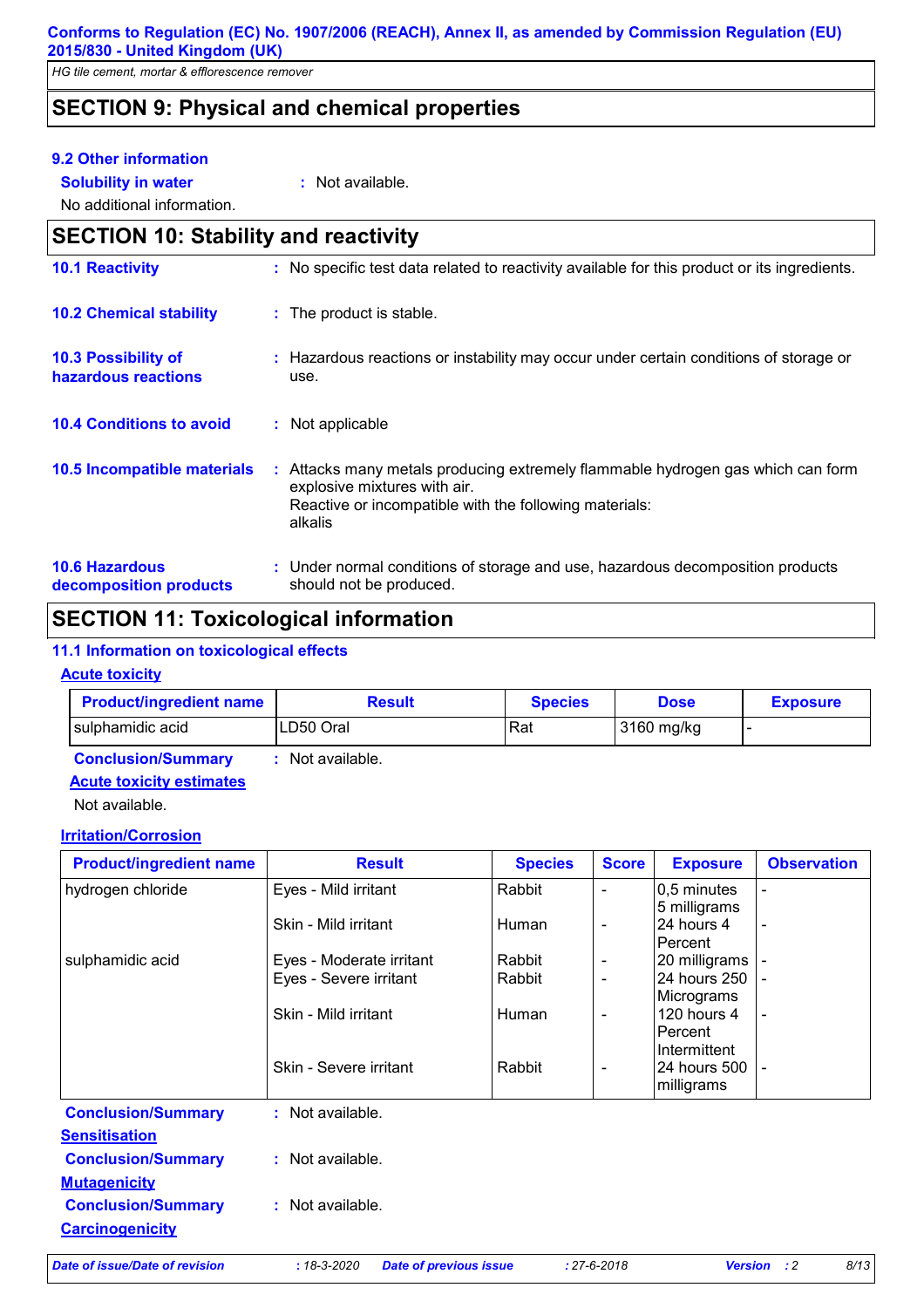*HG tile cement, mortar & efflorescence remover*

# **SECTION 9: Physical and chemical properties**

## **9.2 Other information**

**Solubility in water :** Not available.

No additional information.

| <b>SECTION 10: Stability and reactivity</b>       |                                                                                                                                                                                      |
|---------------------------------------------------|--------------------------------------------------------------------------------------------------------------------------------------------------------------------------------------|
| <b>10.1 Reactivity</b>                            | : No specific test data related to reactivity available for this product or its ingredients.                                                                                         |
| <b>10.2 Chemical stability</b>                    | : The product is stable.                                                                                                                                                             |
| <b>10.3 Possibility of</b><br>hazardous reactions | : Hazardous reactions or instability may occur under certain conditions of storage or<br>use.                                                                                        |
| <b>10.4 Conditions to avoid</b>                   | : Not applicable                                                                                                                                                                     |
| <b>10.5 Incompatible materials</b>                | : Attacks many metals producing extremely flammable hydrogen gas which can form<br>explosive mixtures with air.<br>Reactive or incompatible with the following materials:<br>alkalis |
| <b>10.6 Hazardous</b><br>decomposition products   | : Under normal conditions of storage and use, hazardous decomposition products<br>should not be produced.                                                                            |

# **SECTION 11: Toxicological information**

## **11.1 Information on toxicological effects**

## **Acute toxicity**

| <b>Product/ingredient name</b> | <b>Result</b>  | <b>Species</b> | <b>Dose</b> | <b>Exposure</b> |
|--------------------------------|----------------|----------------|-------------|-----------------|
| ILD50 Oral<br>sulphamidic acid |                | Rat            | 3160 mg/kg  |                 |
| <b>Conclusion/Summary</b>      | Not available. |                |             |                 |

# **Acute toxicity estimates**

Not available.

# **Irritation/Corrosion**

|                        | <b>Species</b>                                                                                     | <b>Score</b>                     | <b>Exposure</b> | <b>Observation</b>                                                                                                                           |
|------------------------|----------------------------------------------------------------------------------------------------|----------------------------------|-----------------|----------------------------------------------------------------------------------------------------------------------------------------------|
| Eyes - Mild irritant   | Rabbit                                                                                             |                                  | 0,5 minutes     |                                                                                                                                              |
|                        |                                                                                                    |                                  |                 |                                                                                                                                              |
|                        |                                                                                                    | $\blacksquare$                   |                 | $\overline{\phantom{a}}$                                                                                                                     |
|                        |                                                                                                    |                                  |                 |                                                                                                                                              |
|                        |                                                                                                    | $\overline{a}$                   |                 |                                                                                                                                              |
|                        |                                                                                                    | $\blacksquare$                   |                 |                                                                                                                                              |
|                        |                                                                                                    |                                  |                 |                                                                                                                                              |
|                        | Human                                                                                              | $\blacksquare$                   |                 | $\overline{\phantom{a}}$                                                                                                                     |
|                        |                                                                                                    |                                  |                 |                                                                                                                                              |
|                        |                                                                                                    |                                  |                 |                                                                                                                                              |
| Skin - Severe irritant | Rabbit                                                                                             | $\overline{\phantom{a}}$         | 24 hours 500    | $\blacksquare$                                                                                                                               |
|                        |                                                                                                    |                                  |                 |                                                                                                                                              |
| : Not available.       |                                                                                                    |                                  |                 |                                                                                                                                              |
|                        |                                                                                                    |                                  |                 |                                                                                                                                              |
| : Not available.       |                                                                                                    |                                  |                 |                                                                                                                                              |
|                        |                                                                                                    |                                  |                 |                                                                                                                                              |
| : Not available.       |                                                                                                    |                                  |                 |                                                                                                                                              |
|                        |                                                                                                    |                                  |                 |                                                                                                                                              |
|                        | Skin - Mild irritant<br>Eyes - Moderate irritant<br>Eyes - Severe irritant<br>Skin - Mild irritant | <b>Human</b><br>Rabbit<br>Rabbit |                 | 5 milligrams<br>24 hours 4<br>Percent<br>20 milligrams<br>24 hours 250<br>Micrograms<br>120 hours 4<br>Percent<br>Intermittent<br>milligrams |

*Date of issue/Date of revision* **:** *18-3-2020 Date of previous issue : 27-6-2018 Version : 2 8/13*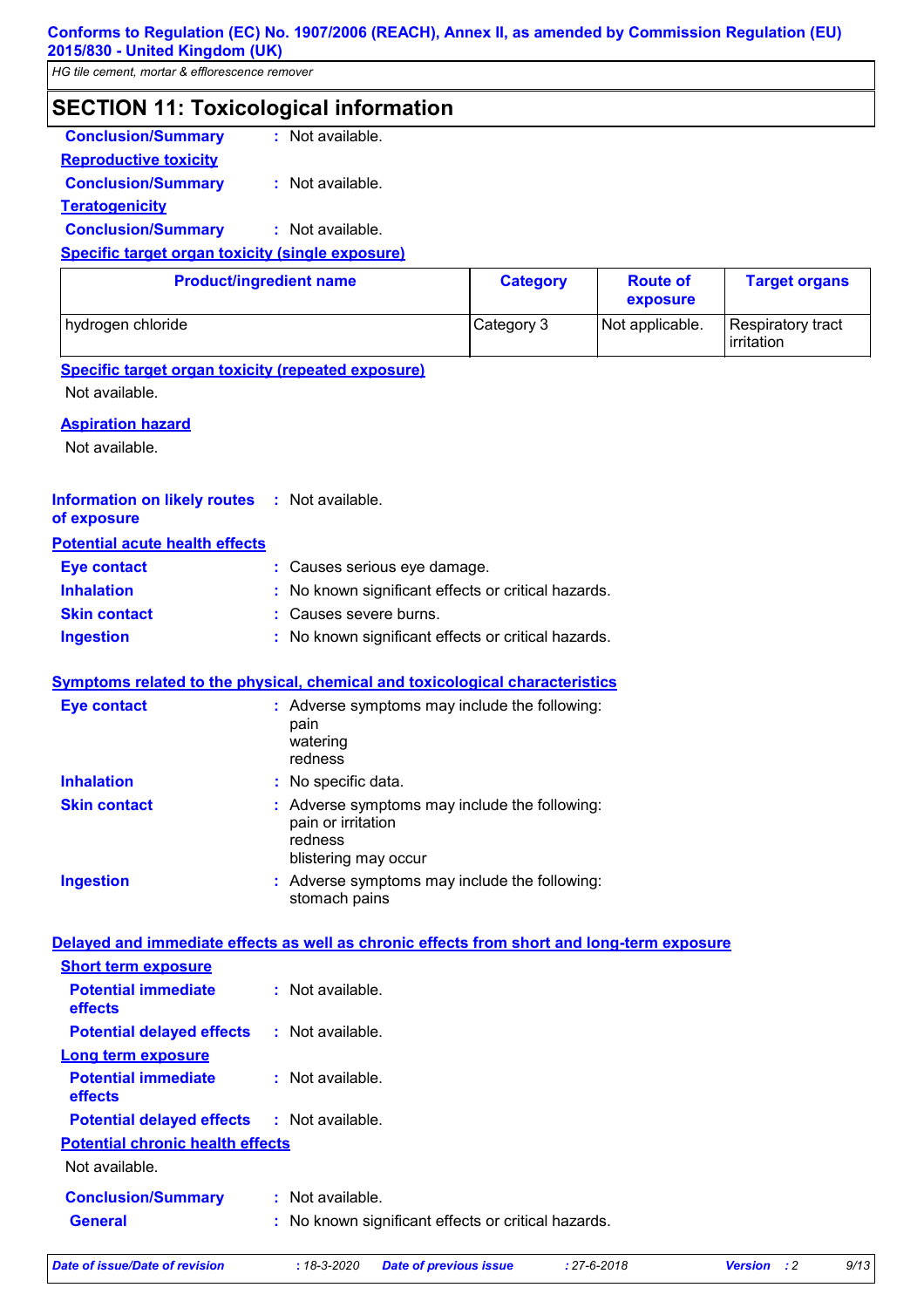*HG tile cement, mortar & efflorescence remover*

# **SECTION 11: Toxicological information Conclusion/Summary :** Not available.

**Reproductive toxicity**

**Conclusion/Summary :** Not available.

**Teratogenicity**

**Conclusion/Summary :** Not available.

# **Specific target organ toxicity (single exposure)**

| <b>Product/ingredient name</b> | <b>Category</b> | <b>Route of</b><br>exposure | <b>Target organs</b>            |
|--------------------------------|-----------------|-----------------------------|---------------------------------|
| hydrogen chloride              | Category 3      | Not applicable.             | Respiratory tract<br>irritation |

# **Specific target organ toxicity (repeated exposure)**

Not available.

# **Aspiration hazard**

Not available.

#### **Information on likely routes : Not available. of exposure**

# **Potential acute health effects**

| Eye contact         | : Causes serious eye damage.                        |
|---------------------|-----------------------------------------------------|
| <b>Inhalation</b>   | : No known significant effects or critical hazards. |
| <b>Skin contact</b> | : Causes severe burns.                              |
| <b>Ingestion</b>    | : No known significant effects or critical hazards. |

# **Symptoms related to the physical, chemical and toxicological characteristics**

| <b>Eye contact</b>  | : Adverse symptoms may include the following:<br>pain<br>watering<br>redness                           |
|---------------------|--------------------------------------------------------------------------------------------------------|
| <b>Inhalation</b>   | : No specific data.                                                                                    |
| <b>Skin contact</b> | : Adverse symptoms may include the following:<br>pain or irritation<br>redness<br>blistering may occur |
| <b>Ingestion</b>    | : Adverse symptoms may include the following:<br>stomach pains                                         |

# **Delayed and immediate effects as well as chronic effects from short and long-term exposure**

| <b>Short term exposure</b>                        |                                                     |
|---------------------------------------------------|-----------------------------------------------------|
| <b>Potential immediate</b><br><b>effects</b>      | $\therefore$ Not available.                         |
| <b>Potential delayed effects</b>                  | : Not available.                                    |
| Long term exposure                                |                                                     |
| <b>Potential immediate</b><br><b>effects</b>      | : Not available.                                    |
| <b>Potential delayed effects : Not available.</b> |                                                     |
| <b>Potential chronic health effects</b>           |                                                     |
| Not available.                                    |                                                     |
| <b>Conclusion/Summary</b>                         | : Not available.                                    |
| <b>General</b>                                    | : No known significant effects or critical hazards. |
|                                                   |                                                     |

*Date of issue/Date of revision* **:** *18-3-2020 Date of previous issue : 27-6-2018 Version : 2 9/13*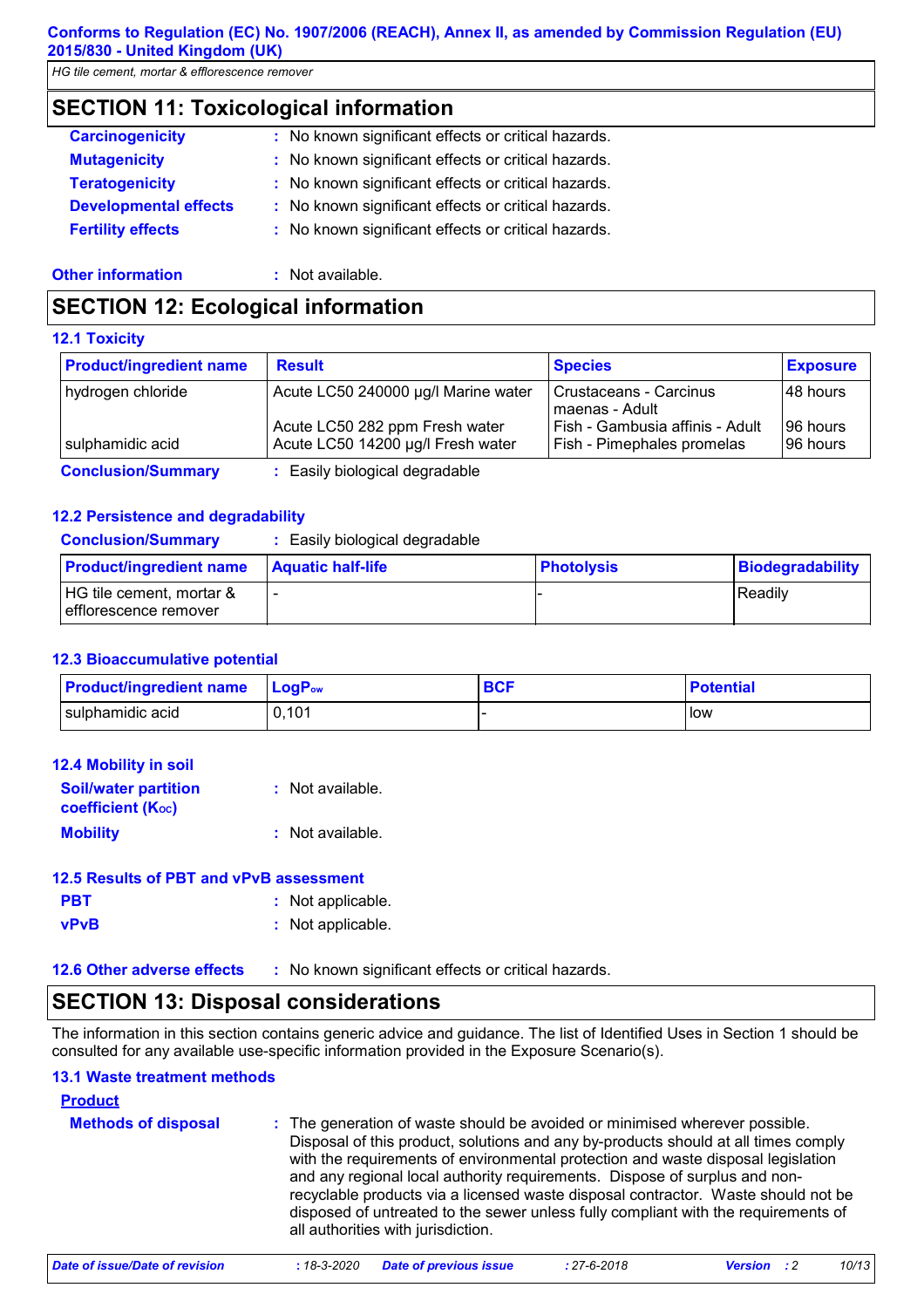*HG tile cement, mortar & efflorescence remover*

# **SECTION 11: Toxicological information**

| : No known significant effects or critical hazards.<br><b>Mutagenicity</b>          |
|-------------------------------------------------------------------------------------|
| : No known significant effects or critical hazards.<br><b>Teratogenicity</b>        |
| <b>Developmental effects</b><br>: No known significant effects or critical hazards. |
| <b>Fertility effects</b><br>: No known significant effects or critical hazards.     |

#### **Other information :** Not available.

# **SECTION 12: Ecological information**

## **12.1 Toxicity**

| <b>Product/ingredient name</b> | <b>Result</b>                                                       | <b>Species</b>                                                | <b>Exposure</b>       |
|--------------------------------|---------------------------------------------------------------------|---------------------------------------------------------------|-----------------------|
| hydrogen chloride              | Acute LC50 240000 µg/l Marine water                                 | Crustaceans - Carcinus<br>maenas - Adult                      | 48 hours              |
| sulphamidic acid               | Acute LC50 282 ppm Fresh water<br>Acute LC50 14200 µg/l Fresh water | Fish - Gambusia affinis - Adult<br>Fish - Pimephales promelas | 96 hours<br>I96 hours |
| <b>Conclusion/Summary</b>      | : Easily biological degradable                                      |                                                               |                       |

## **12.2 Persistence and degradability**

**Conclusion/Summary :** Easily biological degradable

| <b>Product/ingredient name</b>                    | <b>Aquatic half-life</b> | <b>Photolysis</b> | Biodegradability |
|---------------------------------------------------|--------------------------|-------------------|------------------|
| HG tile cement, mortar &<br>efflorescence remover |                          |                   | Readily          |

## **12.3 Bioaccumulative potential**

| <b>Product/ingredient name</b> | <b>LogP</b> <sub>ow</sub> | <b>BCF</b> | <b>Potential</b> |
|--------------------------------|---------------------------|------------|------------------|
| sulphamidic acid               | 0,101                     |            | low              |

| <b>12.4 Mobility in soil</b>                            |                  |
|---------------------------------------------------------|------------------|
| <b>Soil/water partition</b><br><b>coefficient (Koc)</b> | : Not available. |
| <b>Mobility</b>                                         | : Not available. |

## **12.5 Results of PBT and vPvB assessment**

- **PBT :** Not applicable.
- **vPvB :** Not applicable.

**12.6 Other adverse effects** : No known significant effects or critical hazards.

# **SECTION 13: Disposal considerations**

The information in this section contains generic advice and guidance. The list of Identified Uses in Section 1 should be consulted for any available use-specific information provided in the Exposure Scenario(s).

## **13.1 Waste treatment methods**

# **Product**

| <b>Methods of disposal</b> | : The generation of waste should be avoided or minimised wherever possible.<br>Disposal of this product, solutions and any by-products should at all times comply<br>with the requirements of environmental protection and waste disposal legislation<br>and any regional local authority requirements. Dispose of surplus and non-<br>recyclable products via a licensed waste disposal contractor. Waste should not be<br>disposed of untreated to the sewer unless fully compliant with the requirements of<br>all authorities with jurisdiction. |
|----------------------------|------------------------------------------------------------------------------------------------------------------------------------------------------------------------------------------------------------------------------------------------------------------------------------------------------------------------------------------------------------------------------------------------------------------------------------------------------------------------------------------------------------------------------------------------------|
|----------------------------|------------------------------------------------------------------------------------------------------------------------------------------------------------------------------------------------------------------------------------------------------------------------------------------------------------------------------------------------------------------------------------------------------------------------------------------------------------------------------------------------------------------------------------------------------|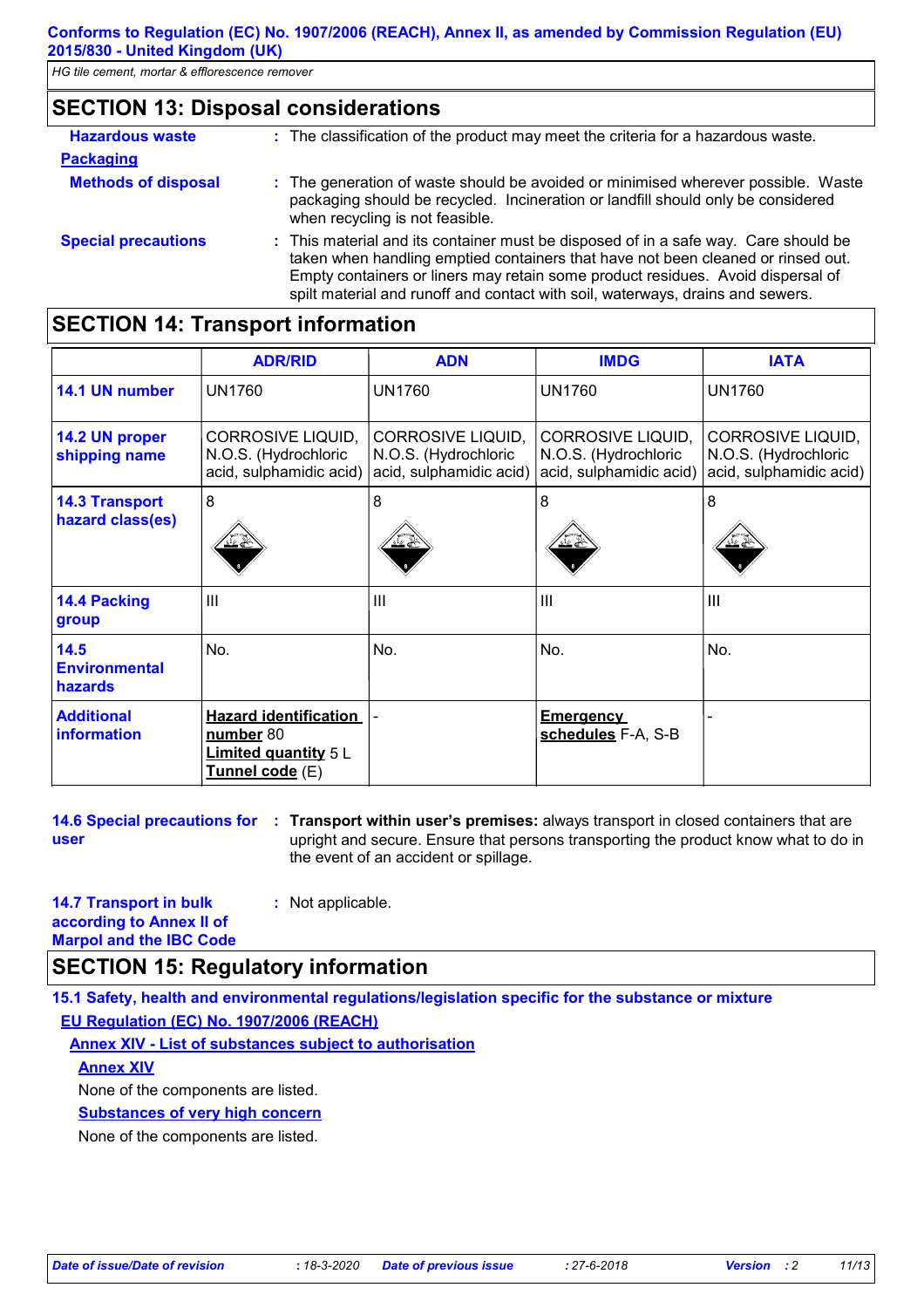| <b>SECTION 13: Disposal considerations</b>                                                                                     |                                                                                                                                                                                                                                                                                                                                              |  |
|--------------------------------------------------------------------------------------------------------------------------------|----------------------------------------------------------------------------------------------------------------------------------------------------------------------------------------------------------------------------------------------------------------------------------------------------------------------------------------------|--|
| <b>Hazardous waste</b><br>: The classification of the product may meet the criteria for a hazardous waste.<br><b>Packaging</b> |                                                                                                                                                                                                                                                                                                                                              |  |
| <b>Methods of disposal</b>                                                                                                     | : The generation of waste should be avoided or minimised wherever possible. Waste<br>packaging should be recycled. Incineration or landfill should only be considered<br>when recycling is not feasible.                                                                                                                                     |  |
| <b>Special precautions</b>                                                                                                     | : This material and its container must be disposed of in a safe way. Care should be<br>taken when handling emptied containers that have not been cleaned or rinsed out.<br>Empty containers or liners may retain some product residues. Avoid dispersal of<br>spilt material and runoff and contact with soil, waterways, drains and sewers. |  |

# **SECTION 14: Transport information**

|                                           | <b>ADR/RID</b>                                                                              | <b>ADN</b>                                                                  | <b>IMDG</b>                                                                 | <b>IATA</b>                                                                 |  |
|-------------------------------------------|---------------------------------------------------------------------------------------------|-----------------------------------------------------------------------------|-----------------------------------------------------------------------------|-----------------------------------------------------------------------------|--|
| 14.1 UN number                            | <b>UN1760</b>                                                                               | <b>UN1760</b>                                                               | <b>UN1760</b>                                                               | <b>UN1760</b>                                                               |  |
| 14.2 UN proper<br>shipping name           | <b>CORROSIVE LIQUID,</b><br>N.O.S. (Hydrochloric<br>acid, sulphamidic acid)                 | <b>CORROSIVE LIQUID,</b><br>N.O.S. (Hydrochloric<br>acid, sulphamidic acid) | <b>CORROSIVE LIQUID,</b><br>N.O.S. (Hydrochloric<br>acid, sulphamidic acid) | <b>CORROSIVE LIQUID,</b><br>N.O.S. (Hydrochloric<br>acid, sulphamidic acid) |  |
| <b>14.3 Transport</b><br>hazard class(es) | 8<br>≚≝                                                                                     | 8                                                                           | 8                                                                           | 8                                                                           |  |
| <b>14.4 Packing</b><br>group              | $\mathbf{III}$                                                                              | III                                                                         | III                                                                         | $\mathbf{III}$                                                              |  |
| 14.5<br><b>Environmental</b><br>hazards   | No.                                                                                         | No.                                                                         | No.                                                                         | No.                                                                         |  |
| <b>Additional</b><br>information          | <b>Hazard identification</b><br>number 80<br>Limited quantity 5 L<br><u>Tunnel code</u> (E) |                                                                             | <b>Emergency</b><br>schedules F-A, S-B                                      |                                                                             |  |

**user**

**14.6 Special precautions for : Transport within user's premises:** always transport in closed containers that are upright and secure. Ensure that persons transporting the product know what to do in the event of an accident or spillage.

| <b>14.7 Transport in bulk</b>  | : N |
|--------------------------------|-----|
| according to Annex II of       |     |
| <b>Marpol and the IBC Code</b> |     |

# **SECTION 15: Regulatory information**

**15.1 Safety, health and environmental regulations/legislation specific for the substance or mixture EU Regulation (EC) No. 1907/2006 (REACH)**

**Annex XIV - List of substances subject to authorisation**

**:** Not applicable.

# **Annex XIV**

None of the components are listed.

**Substances of very high concern**

None of the components are listed.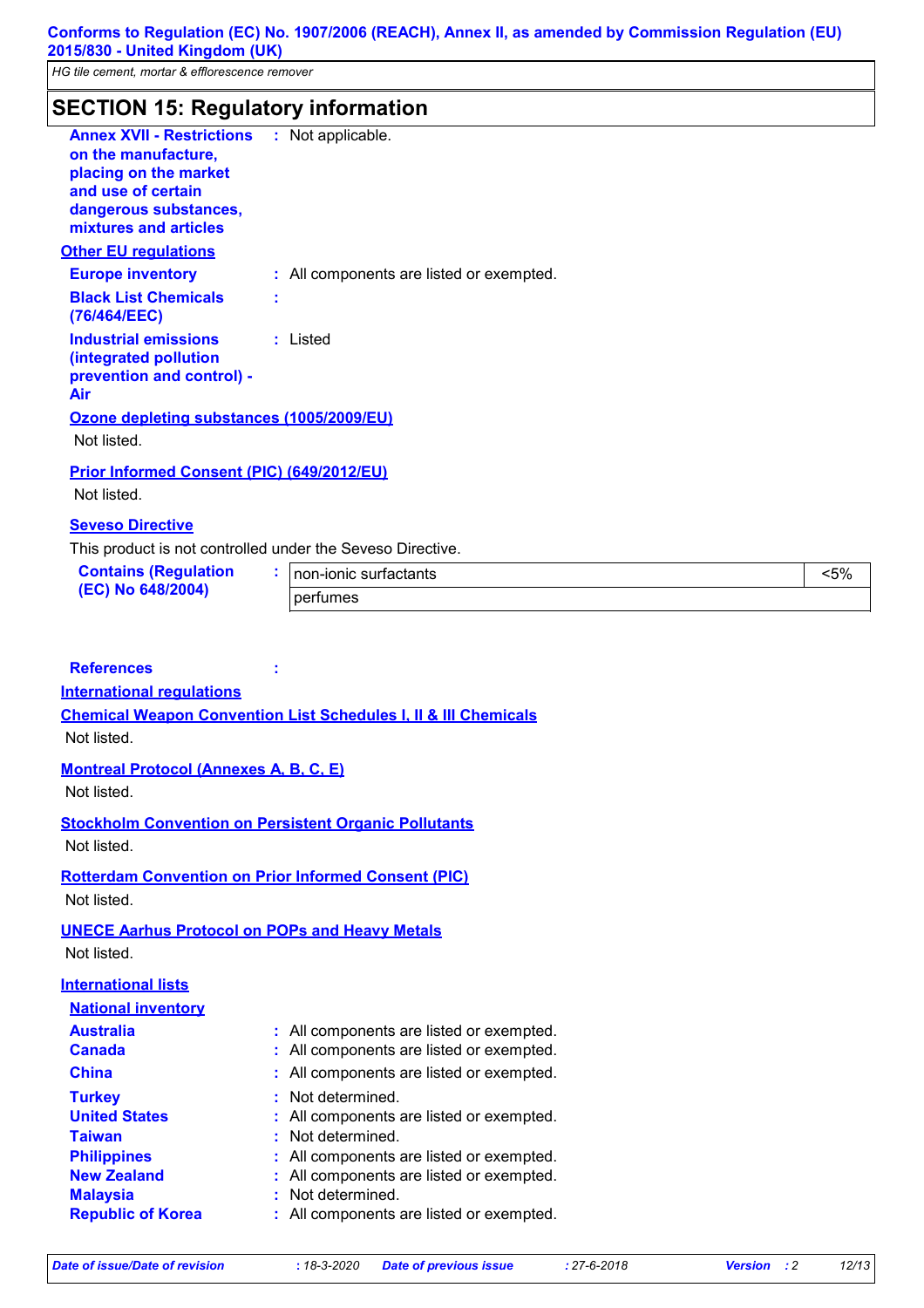# **SECTION 15: Regulatory information**

| <b>Annex XVII - Restrictions : Not applicable.</b><br>on the manufacture.<br>placing on the market<br>and use of certain<br>dangerous substances,<br>mixtures and articles<br><u>Other EU regulations</u> |                                          |
|-----------------------------------------------------------------------------------------------------------------------------------------------------------------------------------------------------------|------------------------------------------|
|                                                                                                                                                                                                           |                                          |
| <b>Europe inventory</b>                                                                                                                                                                                   | : All components are listed or exempted. |
| <b>Black List Chemicals</b><br>(76/464/EEC)                                                                                                                                                               | t                                        |
| <b>Industrial emissions</b><br>(integrated pollution<br>prevention and control) -<br>Air                                                                                                                  | : Listed                                 |
| Ozone depleting substances (1005/2009/EU)                                                                                                                                                                 |                                          |
| Not listed.                                                                                                                                                                                               |                                          |
| <b>Prior Informed Consent (PIC) (649/2012/EU)</b><br>Not listed.                                                                                                                                          |                                          |
| <b>Seveso Directive</b>                                                                                                                                                                                   |                                          |

This product is not controlled under the Seveso Directive.

| <b>Contains (Regulation</b><br>(EC) No 648/2004) | Inon-ionic surfactants | $5\%$ |
|--------------------------------------------------|------------------------|-------|
|                                                  | <b>Derfumes</b>        |       |

## **References :**

#### **International regulations**

**Chemical Weapon Convention List Schedules I, II & III Chemicals** Not listed.

## **Montreal Protocol (Annexes A, B, C, E)**

Not listed.

**Stockholm Convention on Persistent Organic Pollutants** Not listed.

**Rotterdam Convention on Prior Informed Consent (PIC)** Not listed.

## **UNECE Aarhus Protocol on POPs and Heavy Metals**

Not listed.

# **International lists**

| <b>National inventory</b> |                                          |
|---------------------------|------------------------------------------|
| <b>Australia</b>          | : All components are listed or exempted. |
| <b>Canada</b>             | : All components are listed or exempted. |
| <b>China</b>              | : All components are listed or exempted. |
| <b>Turkey</b>             | : Not determined.                        |
| <b>United States</b>      | : All components are listed or exempted. |
| <b>Taiwan</b>             | : Not determined.                        |
| <b>Philippines</b>        | : All components are listed or exempted. |
| <b>New Zealand</b>        | : All components are listed or exempted. |
| <b>Malaysia</b>           | : Not determined.                        |
| <b>Republic of Korea</b>  | : All components are listed or exempted. |